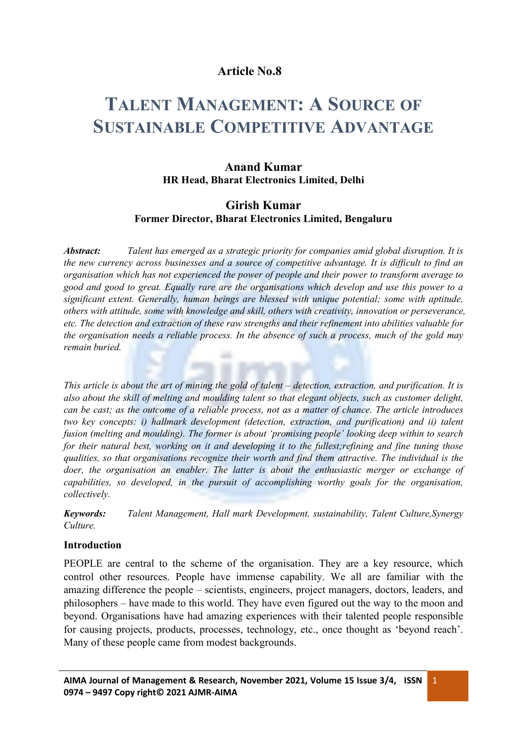# **Article No.8**

# **TALENT MANAGEMENT: A SOURCE OF SUSTAINABLE COMPETITIVE ADVANTAGE**

#### **Anand Kumar HR Head, Bharat Electronics Limited, Delhi**

## **Girish Kumar Former Director, Bharat Electronics Limited, Bengaluru**

*Abstract: Talent has emerged as a strategic priority for companies amid global disruption. It is* the new currency across businesses and a source of competitive advantage. It is difficult to find an *organisation which has not experienced the power of people and their power to transform average to good and good to great. Equally rare are the organisations which develop and use this power to a significant extent. Generally, human beings are blessed with unique potential; some with aptitude, others with attitude, some with knowledge and skill, others with creativity, innovation or perseverance, etc. The detection and extraction of these raw strengths and theirrefinement into abilities valuable for the organisation needs a reliable process. In the absence of such a process, much of the gold may remain buried.*

This article is about the art of mining the gold of talent – detection, extraction, and purification. It is *also about the skill of melting and moulding talent so that elegant objects, such as customer delight,* can be cast; as the outcome of a reliable process, not as a matter of chance. The article introduces *two key concepts: i) hallmark development (detection, extraction, and purification) and ii) talent fusion (melting and moulding). The former is about 'promising people' looking deep within to search for their natural best, working on it and developing it to the fullest;refining and fine tuning those qualities, so that organisations recognize their worth and find them attractive. The individual is the doer, the organisation an enabler. The latter is about the enthusiastic merger or exchange of capabilities, so developed, in the pursuit of accomplishing worthy goals for the organisation, collectively.*

*Keywords: Talent Management, Hall mark Development, sustainability, Talent Culture,Synergy Culture.*

#### **Introduction**

PEOPLE are central to the scheme of the organisation. They are a key resource, which control other resources. People have immense capability. We all are familiar with the amazing difference the people – scientists, engineers, project managers, doctors, leaders, and philosophers – have made to this world. They have even figured out the way to the moon and beyond. Organisations have had amazing experiences with their talented people responsible for causing projects, products, processes, technology, etc., once thought as 'beyond reach'. Many of these people came from modest backgrounds.

1 and 1 and 1 and 1 and 1 and 1 and 1 and 1 and 1 and 1 and 1 and 1 and 1 and 1 and 1 and 1 and 1 and 1 and 1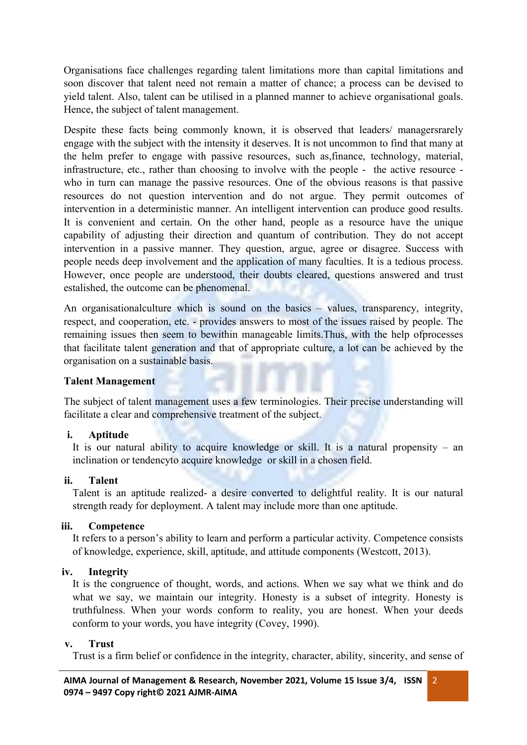Organisations face challenges regarding talent limitations more than capital limitations and soon discover that talent need not remain a matter of chance; a process can be devised to yield talent. Also, talent can be utilised in a planned manner to achieve organisational goals. Hence, the subject of talent management.

Despite these facts being commonly known, it is observed that leaders/ managersrarely engage with the subject with the intensity it deserves.It is not uncommon to find that many at the helm prefer to engage with passive resources, such as, finance, technology, material, infrastructure, etc., rather than choosing to involve with the people - the active resource who in turn can manage the passive resources. One of the obvious reasons is that passive resources do not question intervention and do not argue. They permit outcomes of intervention in a deterministic manner. An intelligent intervention can produce good results. It is convenient and certain. On the other hand, people as a resource have the unique capability of adjusting their direction and quantum of contribution. They do not accept intervention in a passive manner. They question, argue, agree or disagree. Success with people needs deep involvement and the application of many faculties. It is a tedious process. However, once people are understood, their doubts cleared, questions answered and trust estalished, the outcome can be phenomenal.

An organisationalculture which is sound on the basics – values, transparency, integrity, respect, and cooperation, etc. - provides answers to most of the issues raised by people. The remaining issues then seem to bewithin manageable limits.Thus, with the help ofprocesses that facilitate talent generation and that of appropriate culture, a lot can be achieved by the organisation on a sustainable basis.

#### **Talent Management**

The subject of talent management uses a few terminologies. Their precise understanding will facilitate a clear and comprehensive treatment of the subject.

#### **i. Aptitude**

It is our natural ability to acquire knowledge or skill. It is a natural propensity – an inclination or tendencyto acquire knowledge or skill in a chosen field.

#### **ii. Talent**

Talent is an aptitude realized- a desire converted to delightful reality. It is our natural strength ready for deployment. A talent may include more than one aptitude.

#### **iii. Competence**

It refers to a person's ability to learn and perform a particular activity. Competence consists of knowledge, experience, skill, aptitude, and attitude components (Westcott, 2013).

#### **iv. Integrity**

It is the congruence of thought, words, and actions. When we say what we think and do what we say, we maintain our integrity. Honesty is a subset of integrity. Honesty is truthfulness. When your words conform to reality, you are honest. When your deeds conform to your words, you have integrity (Covey, 1990).

#### **v. Trust**

Trust is a firm belief or confidence in the integrity, character, ability, sincerity, and sense of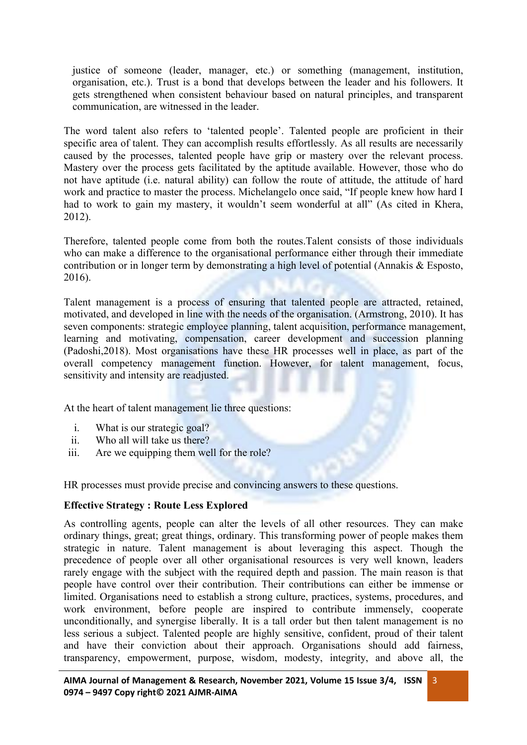justice of someone (leader, manager, etc.) or something (management, institution, organisation, etc.). Trust is a bond that develops between the leader and his followers. It gets strengthened when consistent behaviour based on natural principles, and transparent communication, are witnessed in the leader.

The word talent also refers to 'talented people'. Talented people are proficient in their specific area of talent. They can accomplish results effortlessly. As all results are necessarily caused by the processes, talented people have grip or mastery over the relevant process. Mastery over the process gets facilitated by the aptitude available. However, those who do not have aptitude (i.e. natural ability) can follow the route of attitude, the attitude of hard work and practice to master the process. Michelangelo once said, "If people knew how hard I had to work to gain my mastery, it wouldn't seem wonderful at all" (As cited in Khera, 2012).

Therefore, talented people come from both the routes.Talent consists of those individuals who can make a difference to the organisational performance either through their immediate contribution or in longer term by demonstrating a high level of potential (Annakis & Esposto, 2016).

Talent management is a process of ensuring that talented people are attracted, retained, motivated, and developed in line with the needs of the organisation. (Armstrong, 2010). It has seven components: strategic employee planning, talent acquisition, performance management, learning and motivating, compensation, career development and succession planning (Padoshi, 2018). Most organisations have these HR processes well in place, as part of the overall competency management function. However, for talent management, focus, sensitivity and intensity are readjusted.

At the heart of talent management lie three questions:

- i. What is our strategic goal?
- ii. Who all will take us there?
- iii. Are we equipping them well for the role?

HR processes must provide precise and convincing answers to these questions.

#### **Effective Strategy : Route Less Explored**

As controlling agents, people can alter the levels of all other resources. They can make ordinary things, great; great things, ordinary. This transforming power of people makes them strategic in nature. Talent management is about leveraging this aspect. Though the precedence of people over all other organisational resources is very well known, leaders rarely engage with the subject with the required depth and passion. The main reason is that people have control over their contribution. Their contributions can either be immense or limited. Organisations need to establish a strong culture, practices, systems, procedures, and work environment, before people are inspired to contribute immensely, cooperate unconditionally, and synergise liberally. It is a tall order but then talent management is no less serious a subject. Talented people are highly sensitive, confident, proud of their talent and have their conviction about their approach. Organisations should add fairness, transparency, empowerment, purpose, wisdom, modesty, integrity, and above all, the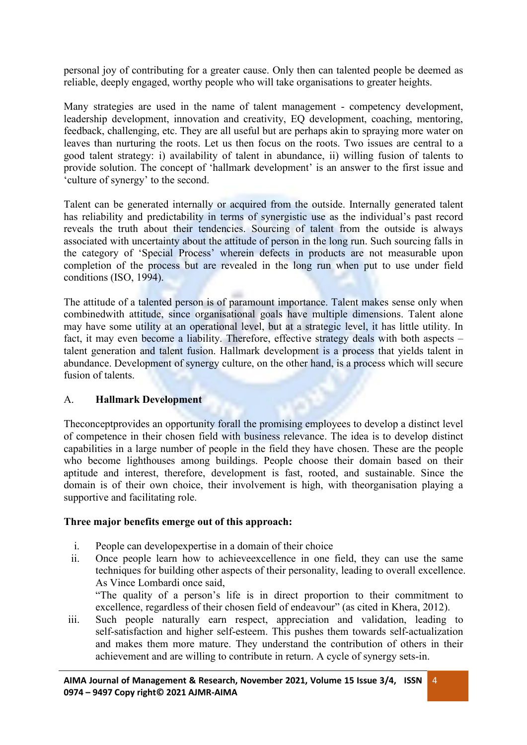personal joy of contributing for a greater cause. Only then can talented people be deemed as reliable, deeply engaged, worthy people who will take organisations to greater heights.

Many strategies are used in the name of talent management - competency development, leadership development, innovation and creativity, EQ development, coaching, mentoring, feedback, challenging, etc. They are all useful but are perhaps akin to spraying more water on leaves than nurturing the roots. Let us then focus on the roots. Two issues are central to a good talent strategy: i) availability of talent in abundance, ii) willing fusion of talents to provide solution. The concept of 'hallmark development' is an answer to the first issue and 'culture of synergy' to the second.Talent can be generated internally or acquired from the outside. Internally generated talent

has reliability and predictability in terms of synergistic use as the individual's past record reveals the truth about their tendencies. Sourcing of talent from the outside is always associated with uncertainty about the attitude of person in the long run. Such sourcing falls in the category of 'Special Process' wherein defects in products are not measurable upon completion of the process but are revealed in the long run when put to use under field conditions (ISO, 1994).

The attitude of a talented person is of paramount importance. Talent makes sense only when combinedwith attitude, since organisational goals have multiple dimensions. Talent alone may have some utility at an operational level, but at a strategic level, it has little utility. In fact, it may even become a liability. Therefore, effective strategy deals with both aspects talent generation and talent fusion. Hallmark development is a process that yields talent in abundance. Development of synergy culture, on the other hand, is a process which will secure fusion of talents.

#### A. **Hallmark Development**

Theconceptprovides an opportunity forall the promising employees to develop a distinct level of competence in their chosen field with business relevance. The idea is to develop distinct capabilities in a large number of people in the field they have chosen. These are the people who become lighthouses among buildings. People choose their domain based on their aptitude and interest, therefore, development is fast, rooted, and sustainable. Since the domain is of their own choice, their involvement is high, with theorganisation playing a supportive and facilitating role.

#### **Three major benefits emerge out of this approach:**

- i. People can developexpertise in a domain of their choice
- ii. Once people learn how to achieveexcellence in one field, they can use the same techniques for building other aspects of their personality, leading to overall excellence. As Vince Lombardi once said,

"The quality of a person's life is in direct proportion to their commitment to excellence, regardless of their chosen field of endeavour" (as cited in Khera, 2012).

iii. Such people naturally earn respect, appreciation and validation, leading to self-satisfaction and higher self-esteem. This pushes them towards self-actualization and makes them more mature. They understand the contribution of others in their achievement and are willing to contribute in return. A cycle of synergy sets-in.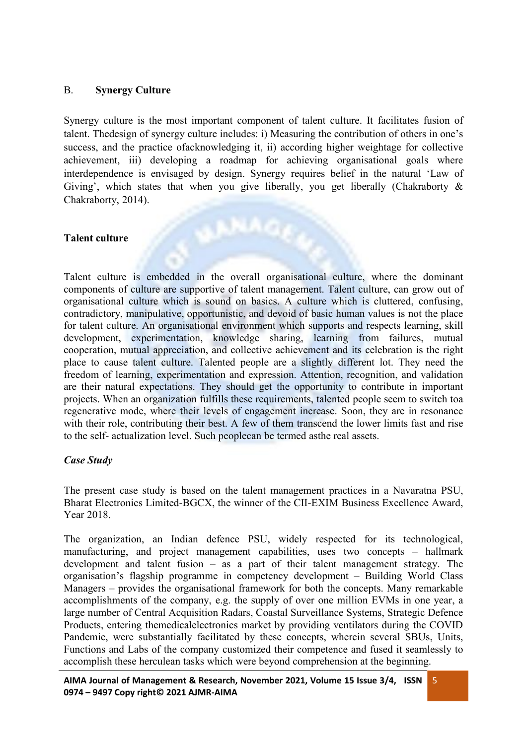#### B. **Synergy Culture**

Synergy culture is the most important component of talent culture. It facilitates fusion of talent. Thedesign of synergy culture includes: i) Measuring the contribution of others in one's success, and the practice ofacknowledging it, ii) according higher weightage for collective achievement, iii) developing a roadmap for achieving organisational goals where interdependence is envisaged by design. Synergy requires belief in the natural 'Law of Giving', which states that when you give liberally, you get liberally (Chakraborty & Chakraborty, 2014).

#### **Talent culture**

Talent culture is embedded in the overall organisational culture, where the dominant components of culture are supportive of talent management. Talent culture, can grow out of organisational culture which is sound on basics. A culture which is cluttered, confusing, contradictory, manipulative, opportunistic, and devoid of basic human values is not the place for talent culture. An organisational environment which supports and respects learning, skill development, experimentation, knowledge sharing, learning from failures, mutual cooperation, mutual appreciation, and collective achievement and its celebration is the right place to cause talent culture. Talented people are a slightly different lot. They need the freedom of learning, experimentation and expression. Attention, recognition, and validation are their natural expectations. They should get the opportunity to contribute in important projects. When an organization fulfills these requirements, talented people seem to switch toa regenerative mode, where their levels of engagement increase. Soon, they are in resonance with their role, contributing their best. A few of them transcend the lower limits fast and rise to the self- actualization level. Such peoplecan be termed asthe real assets.

#### *Case Study*

The present case study is based on the talent management practices in a Navaratna PSU, Bharat Electronics Limited-BGCX, the winner of the CII-EXIM Business Excellence Award, Year 2018.

The organization, an Indian defence PSU, widely respected for its technological, manufacturing, and project management capabilities, uses two concepts – hallmark development and talent fusion – as a part of their talent management strategy. The organisation's flagship programme in competency development – Building World Class Managers – provides the organisational framework for both the concepts. Many remarkable accomplishments of the company, e.g. the supply of over one million EVMs in one year, a large number of Central Acquisition Radars, Coastal Surveillance Systems, Strategic Defence Products, entering themedicalelectronics market by providing ventilators during the COVID Pandemic, were substantially facilitated by these concepts, wherein several SBUs, Units, Functions and Labs of the company customized their competence and fused it seamlessly to accomplish these herculean tasks which were beyond comprehension at the beginning.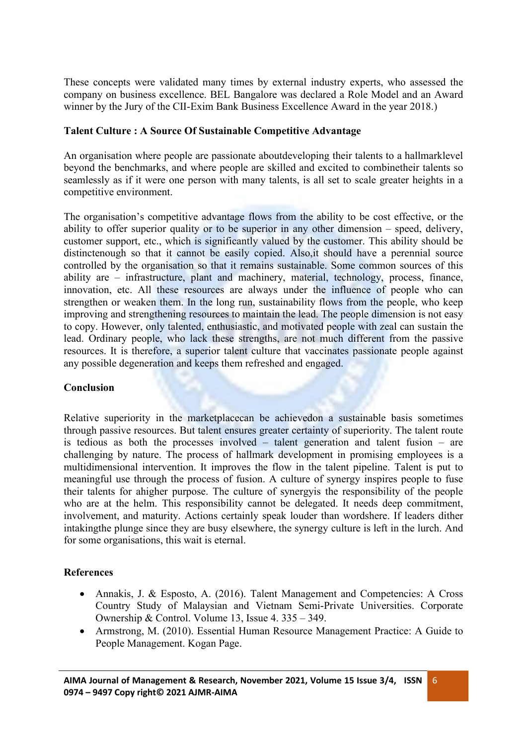These concepts were validated many times by external industry experts, who assessed the company on business excellence. BEL Bangalore was declared a Role Model and an Award winner by the Jury of the CII-Exim Bank Business Excellence Award in the year 2018.)

### **Talent Culture : A Source Of Sustainable Competitive Advantage**

An organisation where people are passionate aboutdeveloping their talents to a hallmarklevel beyond the benchmarks, and where people are skilled and excited to combinetheir talents so seamlessly as if it were one person with many talents, is all set to scale greater heights in a competitive environment.

The organisation's competitive advantage flows from the ability to be cost effective, or the ability to offer superior quality or to be superior in any other dimension – speed, delivery, customer support, etc., which is significantly valued by the customer. This ability should be distinctenough so that it cannot be easily copied. Also,it should have a perennial source controlled by the organisation so that it remains sustainable. Some common sources of this ability are – infrastructure, plant and machinery, material, technology, process, finance, innovation, etc. All these resources are always under the influence of people who can strengthen or weaken them. In the long run, sustainability flows from the people, who keep improving and strengthening resources to maintain the lead. The people dimension is not easy to copy. However, only talented, enthusiastic, and motivated people with zeal can sustain the lead. Ordinary people, who lack these strengths, are not much different from the passive resources. It is therefore, a superior talent culture that vaccinates passionate people against any possible degeneration and keeps them refreshed and engaged.

#### **Conclusion**

Relative superiority in the marketplacecan be achievedon a sustainable basis sometimes through passive resources. But talent ensures greater certainty of superiority. The talent route is tedious as both the processes involved – talent generation and talent fusion – are challenging by nature. The process of hallmark development in promising employees is a multidimensional intervention. It improves the flow in the talent pipeline. Talent is put to meaningful use through the process of fusion. A culture of synergy inspires people to fuse their talents for ahigher purpose. The culture of synergyis the responsibility of the people who are at the helm. This responsibility cannot be delegated. It needs deep commitment, involvement, and maturity. Actions certainly speak louder than wordshere.If leaders dither intakingthe plunge since they are busy elsewhere, the synergy culture is left in the lurch. And for some organisations, this wait is eternal.

# **References**

- Annakis, J. & Esposto, A. (2016). Talent Management and Competencies: A Cross Country Study of Malaysian and Vietnam Semi-Private Universities. Corporate Ownership & Control. Volume 13, Issue 4. 335 – 349.
- Armstrong, M. (2010). Essential Human Resource Management Practice: A Guide to People Management. Kogan Page.